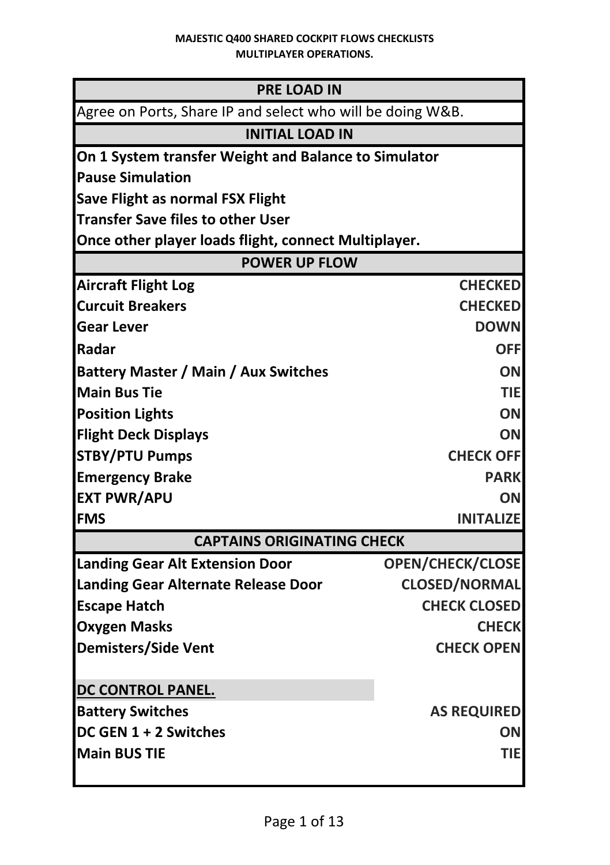## **MAJESTIC Q400 SHARED COCKPIT FLOWS CHECKLISTS MULTIPLAYER OPERATIONS.**

| <b>PRE LOAD IN</b>                                         |                         |
|------------------------------------------------------------|-------------------------|
| Agree on Ports, Share IP and select who will be doing W&B. |                         |
| <b>INITIAL LOAD IN</b>                                     |                         |
| On 1 System transfer Weight and Balance to Simulator       |                         |
| <b>Pause Simulation</b>                                    |                         |
| <b>Save Flight as normal FSX Flight</b>                    |                         |
| <b>Transfer Save files to other User</b>                   |                         |
| Once other player loads flight, connect Multiplayer.       |                         |
| <b>POWER UP FLOW</b>                                       |                         |
| <b>Aircraft Flight Log</b>                                 | <b>CHECKED</b>          |
| <b>Curcuit Breakers</b>                                    | <b>CHECKED</b>          |
| Gear Lever                                                 | <b>DOWN</b>             |
| Radar                                                      | <b>OFF</b>              |
| <b>Battery Master / Main / Aux Switches</b>                | <b>ON</b>               |
| <b>Main Bus Tie</b>                                        | TIE                     |
| <b>Position Lights</b>                                     | OΝ                      |
| <b>Flight Deck Displays</b>                                | ΟN                      |
| <b>STBY/PTU Pumps</b>                                      | <b>CHECK OFF</b>        |
| <b>Emergency Brake</b>                                     | <b>PARK</b>             |
| <b>EXT PWR/APU</b>                                         | OΝ                      |
| <b>FMS</b>                                                 | <b>INITALIZE</b>        |
| <b>CAPTAINS ORIGINATING CHECK</b>                          |                         |
| <b>Landing Gear Alt Extension Door</b>                     | <b>OPEN/CHECK/CLOSE</b> |
| Landing Gear Alternate Release Door                        | <b>CLOSED/NORMAL</b>    |
| <b>Escape Hatch</b>                                        | <b>CHECK CLOSED</b>     |
| <b>Oxygen Masks</b>                                        | <b>CHECK</b>            |
| <b>Demisters/Side Vent</b>                                 | <b>CHECK OPEN</b>       |
|                                                            |                         |
| DC CONTROL PANEL.                                          |                         |
| <b>Battery Switches</b>                                    | <b>AS REQUIRED</b>      |
| DC GEN 1 + 2 Switches                                      | OΝ                      |
| <b>Main BUS TIE</b>                                        | TIE                     |
|                                                            |                         |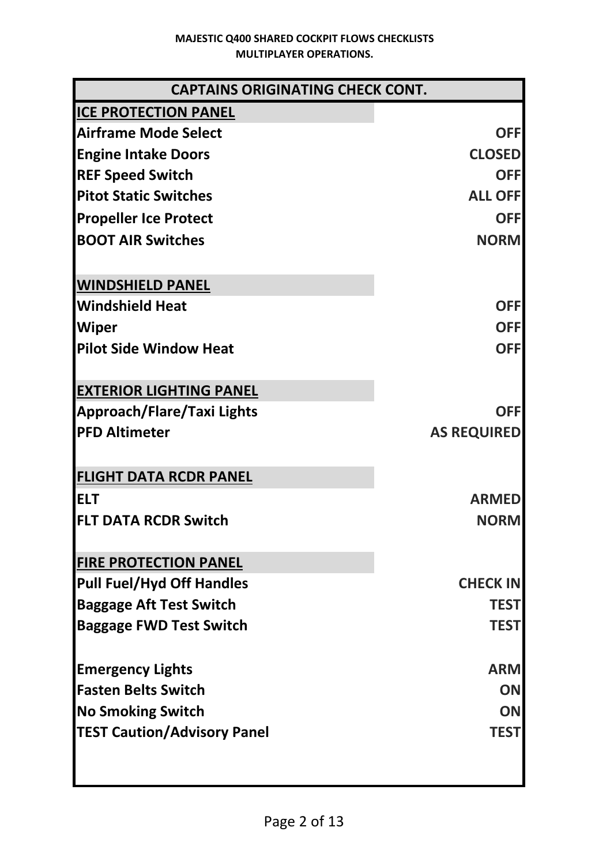| <b>CAPTAINS ORIGINATING CHECK CONT.</b> |                    |
|-----------------------------------------|--------------------|
| <b>ICE PROTECTION PANEL</b>             |                    |
| <b>Airframe Mode Select</b>             | <b>OFF</b>         |
| <b>Engine Intake Doors</b>              | <b>CLOSED</b>      |
| <b>REF Speed Switch</b>                 | <b>OFF</b>         |
| <b>Pitot Static Switches</b>            | <b>ALL OFF</b>     |
| <b>Propeller Ice Protect</b>            | <b>OFF</b>         |
| <b>BOOT AIR Switches</b>                | <b>NORM</b>        |
| <b>WINDSHIELD PANEL</b>                 |                    |
| <b>Windshield Heat</b>                  | <b>OFF</b>         |
| <b>Wiper</b>                            | <b>OFF</b>         |
| <b>Pilot Side Window Heat</b>           | <b>OFF</b>         |
| <b>EXTERIOR LIGHTING PANEL</b>          |                    |
| Approach/Flare/Taxi Lights              | <b>OFF</b>         |
| <b>PFD Altimeter</b>                    | <b>AS REQUIRED</b> |
| <b>FLIGHT DATA RCDR PANEL</b>           |                    |
| <b>ELT</b>                              | <b>ARMED</b>       |
| <b>FLT DATA RCDR Switch</b>             | <b>NORM</b>        |
| <b>FIRE PROTECTION PANEL</b>            |                    |
| <b>Pull Fuel/Hyd Off Handles</b>        | <b>CHECK IN</b>    |
| <b>Baggage Aft Test Switch</b>          | <b>TEST</b>        |
| <b>Baggage FWD Test Switch</b>          | <b>TEST</b>        |
| <b>Emergency Lights</b>                 | <b>ARM</b>         |
| <b>Fasten Belts Switch</b>              | OΝ                 |
| <b>No Smoking Switch</b>                | ON                 |
| <b>TEST Caution/Advisory Panel</b>      | <b>TEST</b>        |
|                                         |                    |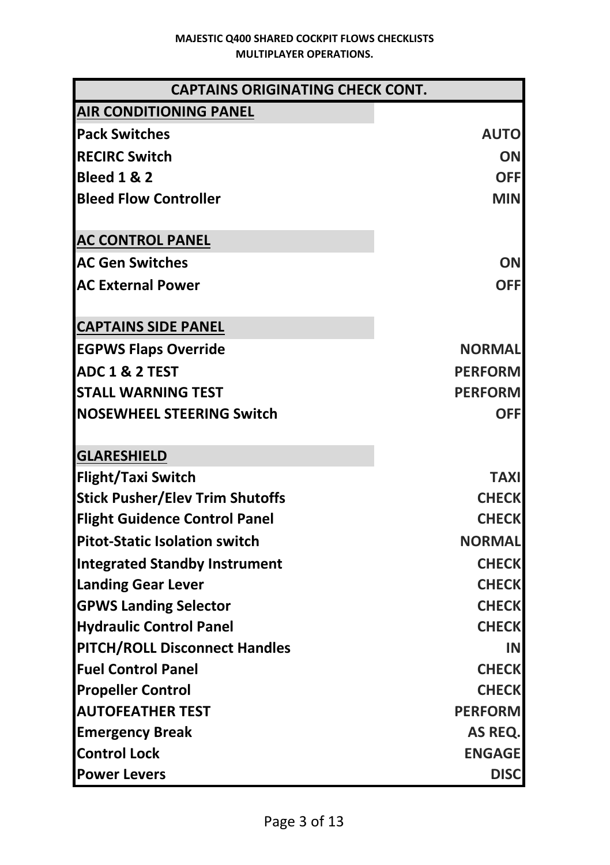| <b>CAPTAINS ORIGINATING CHECK CONT.</b>                                                                                     |                                                                           |  |
|-----------------------------------------------------------------------------------------------------------------------------|---------------------------------------------------------------------------|--|
| <b>AIR CONDITIONING PANEL</b>                                                                                               |                                                                           |  |
| <b>Pack Switches</b>                                                                                                        | <b>AUTO</b>                                                               |  |
| <b>RECIRC Switch</b>                                                                                                        | OΝ                                                                        |  |
| <b>Bleed 1 &amp; 2</b>                                                                                                      | <b>OFF</b>                                                                |  |
| <b>Bleed Flow Controller</b>                                                                                                | MIN                                                                       |  |
| <b>AC CONTROL PANEL</b>                                                                                                     |                                                                           |  |
| <b>AC Gen Switches</b>                                                                                                      | OΝ                                                                        |  |
| <b>AC External Power</b>                                                                                                    | <b>OFF</b>                                                                |  |
|                                                                                                                             |                                                                           |  |
| <b>CAPTAINS SIDE PANEL</b>                                                                                                  |                                                                           |  |
| <b>EGPWS Flaps Override</b>                                                                                                 | <b>NORMAL</b>                                                             |  |
| <b>ADC 1 &amp; 2 TEST</b>                                                                                                   | <b>PERFORM</b>                                                            |  |
| <b>STALL WARNING TEST</b>                                                                                                   | <b>PERFORM</b>                                                            |  |
| <b>NOSEWHEEL STEERING Switch</b>                                                                                            | <b>OFF</b>                                                                |  |
| <b>GLARESHIELD</b>                                                                                                          |                                                                           |  |
| <b>Flight/Taxi Switch</b>                                                                                                   | <b>TAXI</b>                                                               |  |
| <b>Stick Pusher/Elev Trim Shutoffs</b>                                                                                      | <b>CHECK</b>                                                              |  |
| <b>Flight Guidence Control Panel</b>                                                                                        | <b>CHECK</b>                                                              |  |
| <b>Pitot-Static Isolation switch</b>                                                                                        | <b>NORMAL</b>                                                             |  |
|                                                                                                                             |                                                                           |  |
| <b>Integrated Standby Instrument</b>                                                                                        | <b>CHECK</b>                                                              |  |
| <b>Landing Gear Lever</b><br><b>GPWS Landing Selector</b>                                                                   | <b>CHECK</b><br><b>CHECK</b>                                              |  |
| <b>Hydraulic Control Panel</b>                                                                                              | <b>CHECK</b>                                                              |  |
| <b>PITCH/ROLL Disconnect Handles</b>                                                                                        | IN                                                                        |  |
| <b>Fuel Control Panel</b>                                                                                                   | <b>CHECK</b>                                                              |  |
|                                                                                                                             |                                                                           |  |
|                                                                                                                             |                                                                           |  |
|                                                                                                                             |                                                                           |  |
|                                                                                                                             |                                                                           |  |
|                                                                                                                             |                                                                           |  |
| <b>Propeller Control</b><br><b>AUTOFEATHER TEST</b><br><b>Emergency Break</b><br><b>Control Lock</b><br><b>Power Levers</b> | <b>CHECK</b><br><b>PERFORM</b><br>AS REQ.<br><b>ENGAGE</b><br><b>DISC</b> |  |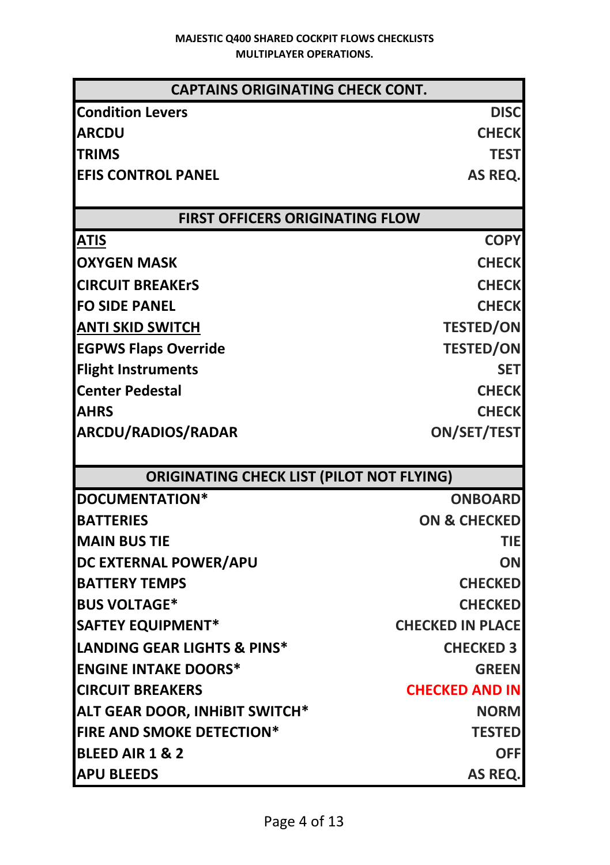| <b>CAPTAINS ORIGINATING CHECK CONT.</b>          |                         |  |
|--------------------------------------------------|-------------------------|--|
| <b>Condition Levers</b>                          | <b>DISC</b>             |  |
| <b>ARCDU</b>                                     | <b>CHECK</b>            |  |
| <b>TRIMS</b>                                     | <b>TEST</b>             |  |
| <b>EFIS CONTROL PANEL</b>                        | AS REQ.                 |  |
|                                                  |                         |  |
| <b>FIRST OFFICERS ORIGINATING FLOW</b>           |                         |  |
| <b>ATIS</b>                                      | <b>COPY</b>             |  |
| <b>OXYGEN MASK</b>                               | <b>CHECK</b>            |  |
| <b>CIRCUIT BREAKErS</b>                          | <b>CHECK</b>            |  |
| <b>FO SIDE PANEL</b>                             | <b>CHECK</b>            |  |
| <b>ANTI SKID SWITCH</b>                          | <b>TESTED/ON</b>        |  |
| <b>EGPWS Flaps Override</b>                      | <b>TESTED/ON</b>        |  |
| <b>Flight Instruments</b>                        | <b>SET</b>              |  |
| <b>Center Pedestal</b>                           | <b>CHECK</b>            |  |
| <b>AHRS</b>                                      | <b>CHECK</b>            |  |
| ARCDU/RADIOS/RADAR                               | <b>ON/SET/TEST</b>      |  |
|                                                  |                         |  |
| <b>ORIGINATING CHECK LIST (PILOT NOT FLYING)</b> |                         |  |
| DOCUMENTATION*                                   | <b>ONBOARD</b>          |  |
| <b>BATTERIES</b>                                 | <b>ON &amp; CHECKED</b> |  |
| <b>MAIN BUS TIE</b>                              | TIE                     |  |
| DC EXTERNAL POWER/APU                            | ON                      |  |
| <b>BATTERY TEMPS</b>                             | <b>CHECKED</b>          |  |
| <b>BUS VOLTAGE*</b>                              | <b>CHECKED</b>          |  |
| <b>SAFTEY EQUIPMENT*</b>                         | <b>CHECKED IN PLACE</b> |  |
| LANDING GEAR LIGHTS & PINS*                      | <b>CHECKED 3</b>        |  |
| <b>ENGINE INTAKE DOORS*</b>                      | <b>GREEN</b>            |  |
| <b>CIRCUIT BREAKERS</b>                          | <b>CHECKED AND IN</b>   |  |
| <b>ALT GEAR DOOR, INHIBIT SWITCH*</b>            | <b>NORM</b>             |  |
| <b>FIRE AND SMOKE DETECTION*</b>                 | <b>TESTED</b>           |  |
| BLEED AIR 1 & 2                                  | OFF                     |  |
| <b>APU BLEEDS</b>                                | AS REQ.                 |  |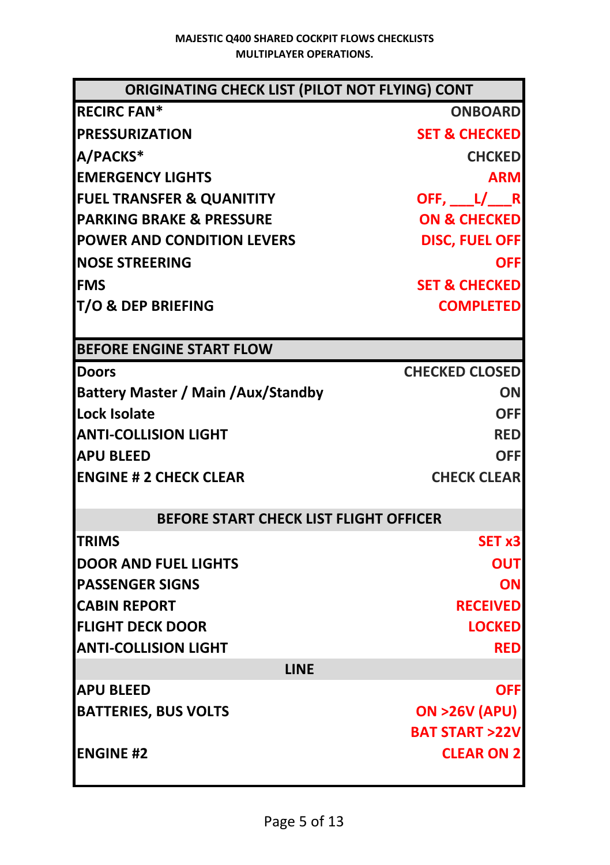| ORIGINATING CHECK LIST (PILOT NOT FLYING) CONT |                          |
|------------------------------------------------|--------------------------|
| <b>RECIRC FAN*</b>                             | <b>ONBOARD</b>           |
| <b>PRESSURIZATION</b>                          | <b>SET &amp; CHECKED</b> |
| A/PACKS*                                       | <b>CHCKED</b>            |
| <b>EMERGENCY LIGHTS</b>                        | <b>ARM</b>               |
| <b>FUEL TRANSFER &amp; QUANITITY</b>           | OFF, $L/ R$              |
| <b>PARKING BRAKE &amp; PRESSURE</b>            | <b>ON &amp; CHECKED</b>  |
| <b>POWER AND CONDITION LEVERS</b>              | <b>DISC, FUEL OFF</b>    |
| <b>INOSE STREERING</b>                         | <b>OFF</b>               |
| <b>IFMS</b>                                    | <b>SET &amp; CHECKED</b> |
| <b>T/O &amp; DEP BRIEFING</b>                  | <b>COMPLETED</b>         |
|                                                |                          |
| <b>BEFORE ENGINE START FLOW</b>                |                          |
| <b>Doors</b>                                   | <b>CHECKED CLOSED</b>    |
| <b>Battery Master / Main /Aux/Standby</b>      | <b>ON</b>                |
| Lock Isolate                                   | <b>OFF</b>               |
| <b>ANTI-COLLISION LIGHT</b>                    | <b>RED</b>               |
| <b>APU BLEED</b>                               | <b>OFF</b>               |
| <b>ENGINE # 2 CHECK CLEAR</b>                  | <b>CHECK CLEAR</b>       |
|                                                |                          |
| <b>BEFORE START CHECK LIST FLIGHT OFFICER</b>  |                          |
| <b>TRIMS</b>                                   | SET <sub>x3</sub>        |
| <b>IDOOR AND FUEL LIGHTS</b>                   | OUT                      |
| <b>PASSENGER SIGNS</b>                         | ON                       |
| <b>CABIN REPORT</b>                            | <b>RECEIVED</b>          |
| <b>FLIGHT DECK DOOR</b>                        | <b>LOCKED</b>            |
| <b>ANTI-COLLISION LIGHT</b>                    | <b>RED</b>               |
| <b>LINE</b>                                    |                          |
| <b>APU BLEED</b>                               | OFF                      |
| <b>BATTERIES, BUS VOLTS</b>                    | <b>ON &gt;26V (APU)</b>  |
|                                                | <b>BAT START &gt;22V</b> |
| <b>ENGINE #2</b>                               | <b>CLEAR ON 2</b>        |
|                                                |                          |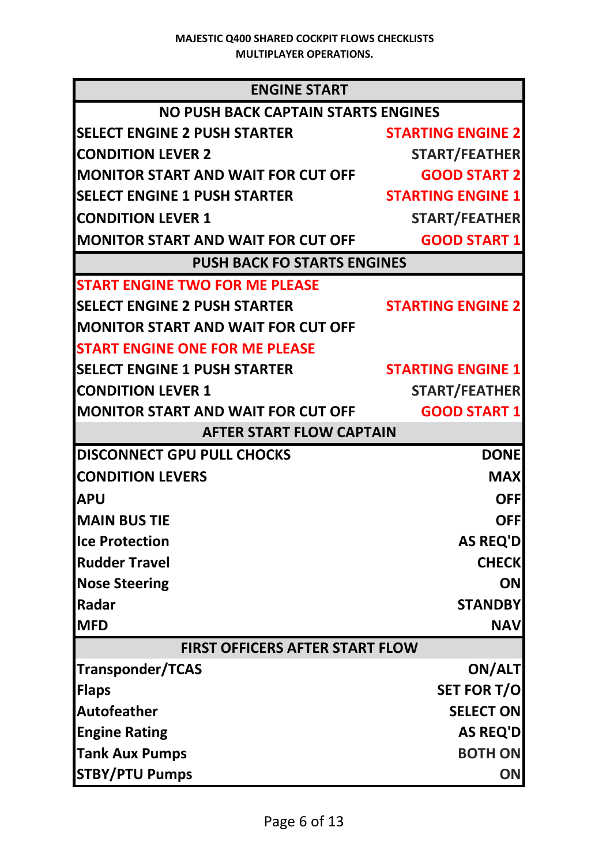| <b>ENGINE START</b>                        |                          |
|--------------------------------------------|--------------------------|
| <b>NO PUSH BACK CAPTAIN STARTS ENGINES</b> |                          |
| <b>SELECT ENGINE 2 PUSH STARTER</b>        | <b>STARTING ENGINE 2</b> |
| <b>CONDITION LEVER 2</b>                   | <b>START/FEATHER</b>     |
| <b>MONITOR START AND WAIT FOR CUT OFF</b>  | <b>GOOD START 2</b>      |
| <b>SELECT ENGINE 1 PUSH STARTER</b>        | <b>STARTING ENGINE 1</b> |
| <b>CONDITION LEVER 1</b>                   | START/FEATHER            |
| <b>MONITOR START AND WAIT FOR CUT OFF</b>  | <b>GOOD START 1</b>      |
| <b>PUSH BACK FO STARTS ENGINES</b>         |                          |
| <b>START ENGINE TWO FOR ME PLEASE</b>      |                          |
| <b>SELECT ENGINE 2 PUSH STARTER</b>        | <b>STARTING ENGINE 2</b> |
| <b>MONITOR START AND WAIT FOR CUT OFF</b>  |                          |
| <b>START ENGINE ONE FOR ME PLEASE</b>      |                          |
| <b>SELECT ENGINE 1 PUSH STARTER</b>        | <b>STARTING ENGINE 1</b> |
| <b>CONDITION LEVER 1</b>                   | START/FEATHER            |
| <b>MONITOR START AND WAIT FOR CUT OFF</b>  | <b>GOOD START 1</b>      |
| <b>AFTER START FLOW CAPTAIN</b>            |                          |
| DISCONNECT GPU PULL CHOCKS                 | <b>DONE</b>              |
| <b>CONDITION LEVERS</b>                    | <b>MAX</b>               |
| <b>APU</b>                                 | <b>OFF</b>               |
| <b>MAIN BUS TIE</b>                        | <b>OFF</b>               |
| <b>Ice Protection</b>                      | <b>AS REQ'D</b>          |
| <b>Rudder Travel</b>                       | <b>CHECK</b>             |
| <b>Nose Steering</b>                       | ON                       |
| Radar                                      | <b>STANDBY</b>           |
| <b>MFD</b>                                 | <b>NAV</b>               |
| <b>FIRST OFFICERS AFTER START FLOW</b>     |                          |
| <b>Transponder/TCAS</b>                    | ON/ALT                   |
| <b>Flaps</b>                               | <b>SET FOR T/O</b>       |
| <b>Autofeather</b>                         | <b>SELECT ON</b>         |
| <b>Engine Rating</b>                       | AS REQ'D                 |
| <b>Tank Aux Pumps</b>                      | <b>BOTH ON</b>           |
| <b>STBY/PTU Pumps</b>                      | ON                       |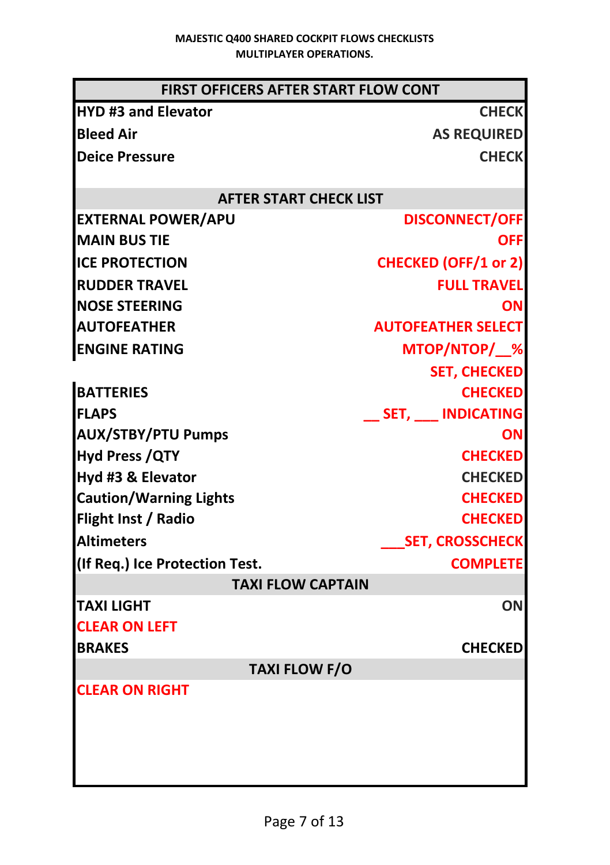| <b>FIRST OFFICERS AFTER START FLOW CONT</b> |                             |
|---------------------------------------------|-----------------------------|
| <b>HYD #3 and Elevator</b>                  | <b>CHECK</b>                |
| <b>Bleed Air</b>                            | <b>AS REQUIRED</b>          |
| <b>Deice Pressure</b>                       | <b>CHECK</b>                |
|                                             |                             |
| <b>AFTER START CHECK LIST</b>               |                             |
| <b>EXTERNAL POWER/APU</b>                   | <b>DISCONNECT/OFF</b>       |
| <b>MAIN BUS TIE</b>                         | <b>OFF</b>                  |
| <b>ICE PROTECTION</b>                       | <b>CHECKED (OFF/1 or 2)</b> |
| <b>RUDDER TRAVEL</b>                        | <b>FULL TRAVEL</b>          |
| <b>NOSE STEERING</b>                        | OΝ                          |
| <b>AUTOFEATHER</b>                          | <b>AUTOFEATHER SELECT</b>   |
| <b>ENGINE RATING</b>                        | MTOP/NTOP/ %                |
|                                             | <b>SET, CHECKED</b>         |
| <b>BATTERIES</b>                            | <b>CHECKED</b>              |
| <b>FLAPS</b>                                | _SET, __ INDICATING         |
| <b>AUX/STBY/PTU Pumps</b>                   | ΟN                          |
| <b>Hyd Press / QTY</b>                      | <b>CHECKED</b>              |
| Hyd #3 & Elevator                           | <b>CHECKED</b>              |
| <b>Caution/Warning Lights</b>               | <b>CHECKED</b>              |
| Flight Inst / Radio                         | <b>CHECKED</b>              |
| <b>Altimeters</b>                           | <b>SET, CROSSCHECK</b>      |
| (If Req.) Ice Protection Test.              | <b>COMPLETE</b>             |
| <b>TAXI FLOW CAPTAIN</b>                    |                             |
| <b>TAXI LIGHT</b>                           | ON                          |
| <b>CLEAR ON LEFT</b>                        |                             |
| <b>BRAKES</b>                               | <b>CHECKED</b>              |
| <b>TAXI FLOW F/O</b>                        |                             |
| <b>CLEAR ON RIGHT</b>                       |                             |
|                                             |                             |
|                                             |                             |
|                                             |                             |
|                                             |                             |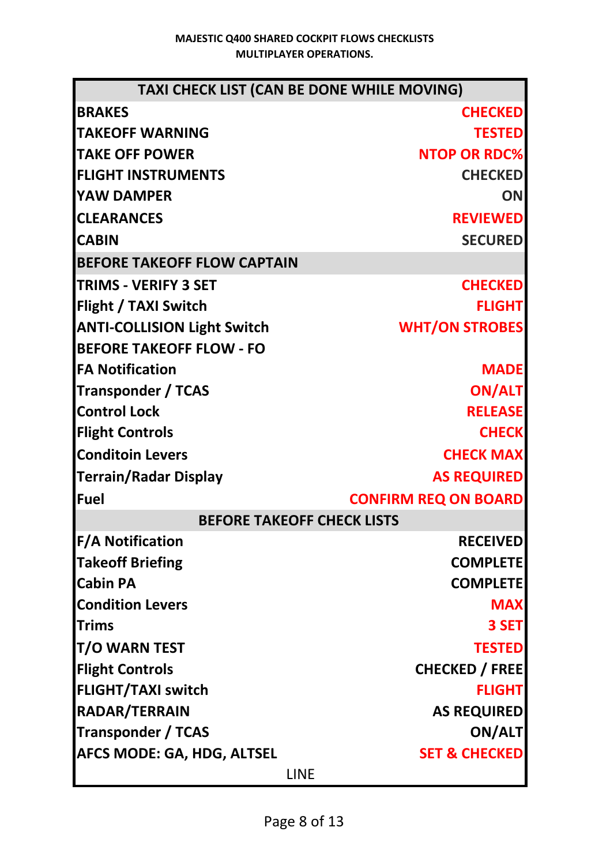| TAXI CHECK LIST (CAN BE DONE WHILE MOVING) |                             |  |
|--------------------------------------------|-----------------------------|--|
| <b>BRAKES</b>                              | <b>CHECKED</b>              |  |
| <b>TAKEOFF WARNING</b>                     | <b>TESTED</b>               |  |
| <b>TAKE OFF POWER</b>                      | <b>NTOP OR RDC%</b>         |  |
| <b>FLIGHT INSTRUMENTS</b>                  | <b>CHECKED</b>              |  |
| YAW DAMPER                                 | ON                          |  |
| <b>CLEARANCES</b>                          | <b>REVIEWED</b>             |  |
| <b>CABIN</b>                               | <b>SECURED</b>              |  |
| <b>BEFORE TAKEOFF FLOW CAPTAIN</b>         |                             |  |
| <b>TRIMS - VERIFY 3 SET</b>                | <b>CHECKED</b>              |  |
| Flight / TAXI Switch                       | <b>FLIGHT</b>               |  |
| <b>ANTI-COLLISION Light Switch</b>         | <b>WHT/ON STROBES</b>       |  |
| <b>BEFORE TAKEOFF FLOW - FO</b>            |                             |  |
| <b>FA Notification</b>                     | <b>MADE</b>                 |  |
| <b>Transponder / TCAS</b>                  | <b>ON/ALT</b>               |  |
| <b>Control Lock</b>                        | <b>RELEASE</b>              |  |
| <b>Flight Controls</b>                     | <b>CHECK</b>                |  |
| <b>Conditoin Levers</b>                    | <b>CHECK MAX</b>            |  |
| <b>Terrain/Radar Display</b>               | <b>AS REQUIRED</b>          |  |
| <b>Fuel</b>                                | <b>CONFIRM REQ ON BOARD</b> |  |
| <b>BEFORE TAKEOFF CHECK LISTS</b>          |                             |  |
| <b>F/A Notification</b>                    | <b>RECEIVED</b>             |  |
| <b>Takeoff Briefing</b>                    | <b>COMPLETE</b>             |  |
| <b>Cabin PA</b>                            | <b>COMPLETE</b>             |  |
| <b>Condition Levers</b>                    | <b>MAX</b>                  |  |
| <b>Trims</b>                               | 3 SET                       |  |
| <b>T/O WARN TEST</b>                       | <b>TESTED</b>               |  |
| <b>Flight Controls</b>                     | <b>CHECKED / FREE</b>       |  |
| <b>FLIGHT/TAXI switch</b>                  | <b>FLIGHT</b>               |  |
| RADAR/TERRAIN                              | <b>AS REQUIRED</b>          |  |
| <b>Transponder / TCAS</b>                  | ON/ALT                      |  |
| <b>AFCS MODE: GA, HDG, ALTSEL</b>          | <b>SET &amp; CHECKED</b>    |  |
| LINE                                       |                             |  |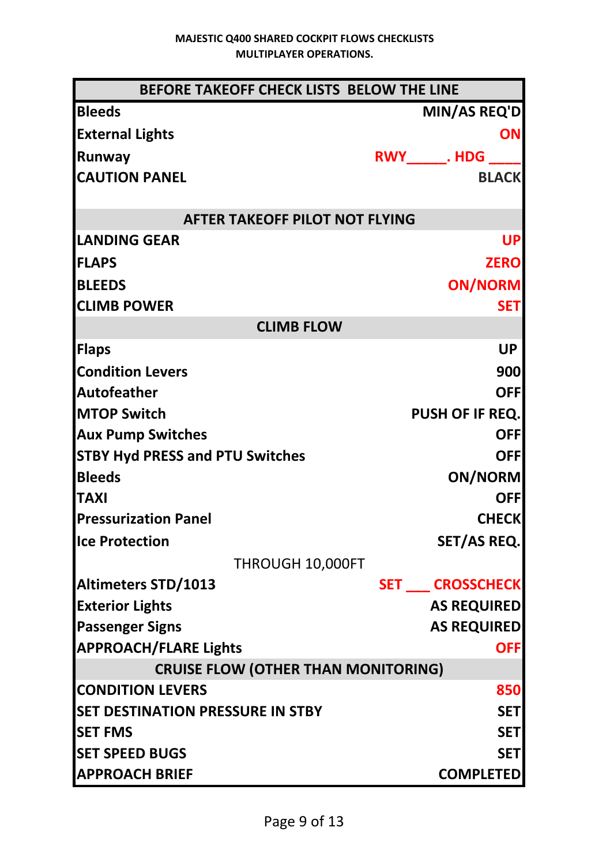| BEFORE TAKEOFF CHECK LISTS BELOW THE LINE  |                              |
|--------------------------------------------|------------------------------|
| <b>Bleeds</b>                              | <b>MIN/AS REQ'D</b>          |
| <b>External Lights</b>                     | <b>ON</b>                    |
| Runway                                     | <b>RWY_______. HDG</b> _____ |
| <b>CAUTION PANEL</b>                       | <b>BLACK</b>                 |
|                                            |                              |
| <b>AFTER TAKEOFF PILOT NOT FLYING</b>      |                              |
| <b>LANDING GEAR</b>                        | UP                           |
| <b>FLAPS</b>                               | <b>ZERO</b>                  |
| <b>BLEEDS</b>                              | <b>ON/NORM</b>               |
| <b>CLIMB POWER</b>                         | <b>SET</b>                   |
| <b>CLIMB FLOW</b>                          |                              |
| <b>Flaps</b>                               | <b>UP</b>                    |
| <b>Condition Levers</b>                    | 900                          |
| <b>Autofeather</b>                         | <b>OFF</b>                   |
| <b>MTOP Switch</b>                         | PUSH OF IF REQ.              |
| <b>Aux Pump Switches</b>                   | <b>OFF</b>                   |
| <b>STBY Hyd PRESS and PTU Switches</b>     | <b>OFF</b>                   |
| <b>Bleeds</b>                              | <b>ON/NORM</b>               |
| <b>TAXI</b>                                | <b>OFF</b>                   |
| <b>Pressurization Panel</b>                | <b>CHECK</b>                 |
| <b>Ice Protection</b>                      | SET/AS REQ.                  |
| THROUGH 10,000FT                           |                              |
| Altimeters STD/1013                        | <b>SET CROSSCHECK</b>        |
| <b>Exterior Lights</b>                     | <b>AS REQUIRED</b>           |
| <b>Passenger Signs</b>                     | <b>AS REQUIRED</b>           |
| <b>APPROACH/FLARE Lights</b>               | <b>OFF</b>                   |
| <b>CRUISE FLOW (OTHER THAN MONITORING)</b> |                              |
| <b>CONDITION LEVERS</b>                    | 850                          |
| <b>SET DESTINATION PRESSURE IN STBY</b>    | <b>SET</b>                   |
| <b>SET FMS</b>                             | <b>SET</b>                   |
| <b>SET SPEED BUGS</b>                      | <b>SET</b>                   |
| <b>APPROACH BRIEF</b>                      | <b>COMPLETED</b>             |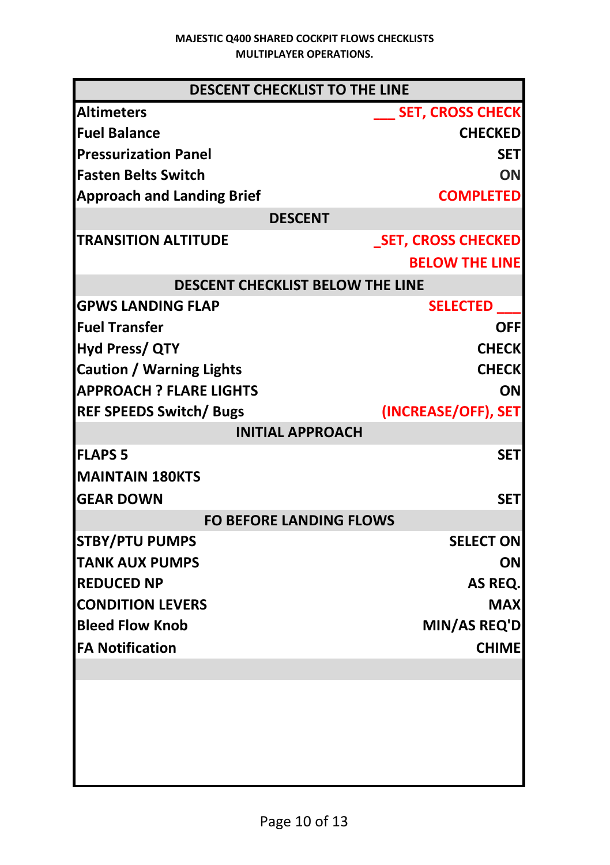| <b>DESCENT CHECKLIST TO THE LINE</b>    |                           |
|-----------------------------------------|---------------------------|
| <b>Altimeters</b>                       | <b>SET, CROSS CHECK</b>   |
| <b>Fuel Balance</b>                     | <b>CHECKED</b>            |
| <b>Pressurization Panel</b>             | <b>SET</b>                |
| <b>Fasten Belts Switch</b>              | ON                        |
| <b>Approach and Landing Brief</b>       | <b>COMPLETED</b>          |
| <b>DESCENT</b>                          |                           |
| <b>TRANSITION ALTITUDE</b>              | <b>SET, CROSS CHECKED</b> |
|                                         | <b>BELOW THE LINE</b>     |
| <b>DESCENT CHECKLIST BELOW THE LINE</b> |                           |
| <b>GPWS LANDING FLAP</b>                | <b>SELECTED</b>           |
| lFuel Transfer                          | OFFI                      |
| <b>Hyd Press/ QTY</b>                   | <b>CHECK</b>              |
| <b>Caution / Warning Lights</b>         | <b>CHECK</b>              |
| <b>APPROACH ? FLARE LIGHTS</b>          | ON                        |
| <b>REF SPEEDS Switch/ Bugs</b>          | (INCREASE/OFF), SET       |
| <b>INITIAL APPROACH</b>                 |                           |
| <b>FLAPS 5</b>                          | <b>SET</b>                |
| <b>MAINTAIN 180KTS</b>                  |                           |
| <b>GEAR DOWN</b>                        | <b>SET</b>                |
| <b>FO BEFORE LANDING FLOWS</b>          |                           |
| <b>STBY/PTU PUMPS</b>                   | <b>SELECT ON</b>          |
| <b>TANK AUX PUMPS</b>                   | ΟN                        |
| <b>REDUCED NP</b>                       | AS REQ.                   |
| <b>CONDITION LEVERS</b>                 | <b>MAX</b>                |
| <b>Bleed Flow Knob</b>                  | MIN/AS REQ'D              |
| <b>FA Notification</b>                  | <b>CHIME</b>              |
|                                         |                           |
|                                         |                           |
|                                         |                           |
|                                         |                           |
|                                         |                           |
|                                         |                           |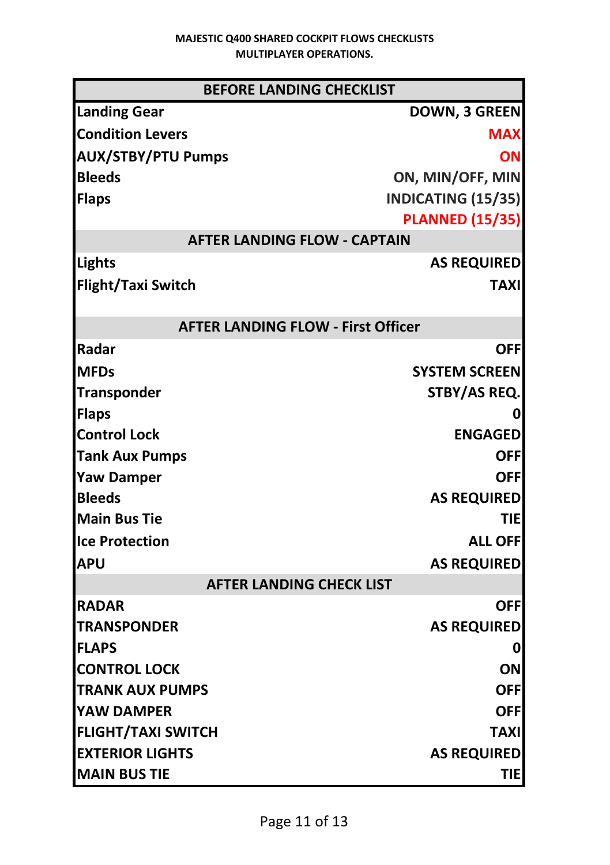| <b>BEFORE LANDING CHECKLIST</b>           |                        |  |
|-------------------------------------------|------------------------|--|
| <b>Landing Gear</b>                       | <b>DOWN, 3 GREEN</b>   |  |
| <b>Condition Levers</b>                   | <b>MAX</b>             |  |
| <b>AUX/STBY/PTU Pumps</b>                 | ON                     |  |
| <b>Bleeds</b>                             | ON, MIN/OFF, MIN       |  |
| <b>Flaps</b>                              | INDICATING (15/35)     |  |
|                                           | <b>PLANNED (15/35)</b> |  |
| <b>AFTER LANDING FLOW - CAPTAIN</b>       |                        |  |
| Lights                                    | <b>AS REQUIRED</b>     |  |
| <b>Flight/Taxi Switch</b>                 | <b>TAXI</b>            |  |
| <b>AFTER LANDING FLOW - First Officer</b> |                        |  |
| Radar                                     | <b>OFF</b>             |  |
| <b>MFDs</b>                               | <b>SYSTEM SCREEN</b>   |  |
| <b>Transponder</b>                        | STBY/AS REQ.           |  |
| <b>Flaps</b>                              |                        |  |
| <b>Control Lock</b>                       | <b>ENGAGED</b>         |  |
| <b>Tank Aux Pumps</b>                     | <b>OFFI</b>            |  |
| <b>Yaw Damper</b>                         | <b>OFFI</b>            |  |
| <b>Bleeds</b>                             | <b>AS REQUIRED</b>     |  |
| <b>Main Bus Tie</b>                       | TIEI                   |  |
| <b>Ice Protection</b>                     | <b>ALL OFF</b>         |  |
| <b>APU</b>                                | <b>AS REQUIRED</b>     |  |
| <b>AFTER LANDING CHECK LIST</b>           |                        |  |
| <b>RADAR</b>                              | <b>OFF</b>             |  |
| <b>TRANSPONDER</b>                        | <b>AS REQUIRED</b>     |  |
| <b>FLAPS</b>                              | 0                      |  |
| <b>CONTROL LOCK</b>                       | ON                     |  |
| <b>TRANK AUX PUMPS</b>                    | OFF                    |  |
| YAW DAMPER                                | OFF                    |  |
| <b>FLIGHT/TAXI SWITCH</b>                 | <b>TAXI</b>            |  |
| <b>EXTERIOR LIGHTS</b>                    | <b>AS REQUIRED</b>     |  |
| <b>MAIN BUS TIE</b>                       | <b>TIE</b>             |  |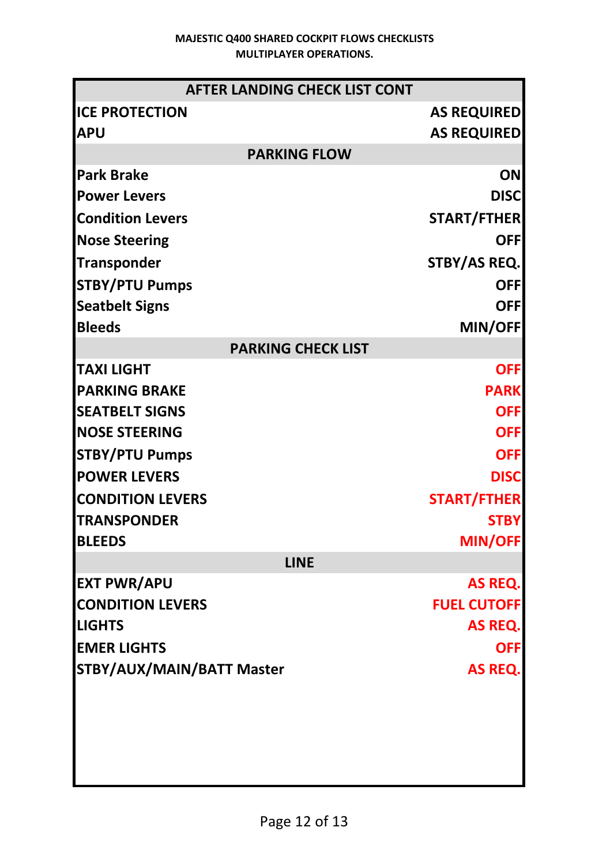| <b>AFTER LANDING CHECK LIST CONT</b> |                     |
|--------------------------------------|---------------------|
| <b>ICE PROTECTION</b>                | <b>AS REQUIRED</b>  |
| <b>APU</b>                           | <b>AS REQUIRED</b>  |
| <b>PARKING FLOW</b>                  |                     |
| <b>Park Brake</b>                    | ON                  |
| <b>Power Levers</b>                  | <b>DISC</b>         |
| <b>Condition Levers</b>              | <b>START/FTHER</b>  |
| <b>Nose Steering</b>                 | OFFI                |
| <b>Transponder</b>                   | <b>STBY/AS REQ.</b> |
| <b>STBY/PTU Pumps</b>                | <b>OFF</b>          |
| <b>Seatbelt Signs</b>                | <b>OFF</b>          |
| <b>Bleeds</b>                        | <b>MIN/OFF</b>      |
| <b>PARKING CHECK LIST</b>            |                     |
| <b>TAXI LIGHT</b>                    | <b>OFF</b>          |
| <b>PARKING BRAKE</b>                 | <b>PARK</b>         |
| <b>SEATBELT SIGNS</b>                | <b>OFF</b>          |
| <b>NOSE STEERING</b>                 | <b>OFF</b>          |
| <b>STBY/PTU Pumps</b>                | <b>OFF</b>          |
| <b>POWER LEVERS</b>                  | <b>DISC</b>         |
| <b>CONDITION LEVERS</b>              | <b>START/FTHER</b>  |
| <b>TRANSPONDER</b>                   | <b>STBY</b>         |
| <b>BLEEDS</b>                        | <b>MIN/OFF</b>      |
| <b>LINE</b>                          |                     |
| <b>EXT PWR/APU</b>                   | AS REQ.             |
| <b>CONDITION LEVERS</b>              | <b>FUEL CUTOFF</b>  |
| <b>LIGHTS</b>                        | AS REQ.             |
| <b>EMER LIGHTS</b>                   | OFFI                |
| STBY/AUX/MAIN/BATT Master            | AS REQ.             |
|                                      |                     |
|                                      |                     |
|                                      |                     |
|                                      |                     |
|                                      |                     |